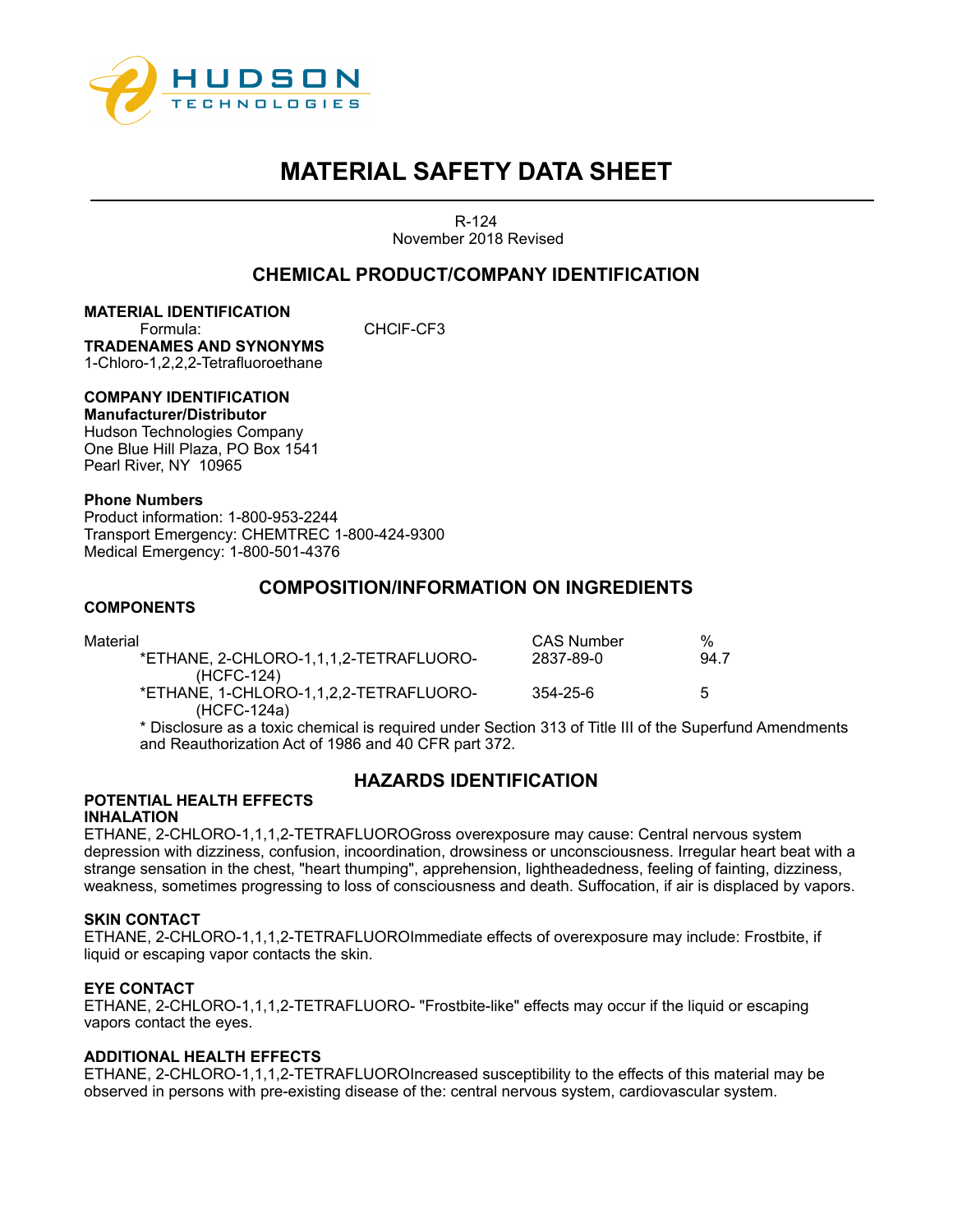

R-124 November 2018 Revised

# **CHEMICAL PRODUCT/COMPANY IDENTIFICATION**

**MATERIAL IDENTIFICATION** Formula: CHClF-CF3 **TRADENAMES AND SYNONYMS** 1-Chloro-1,2,2,2-Tetrafluoroethane

# **COMPANY IDENTIFICATION**

**Manufacturer/Distributor**  Hudson Technologies Company One Blue Hill Plaza, PO Box 1541 Pearl River, NY 10965

## **Phone Numbers**

Product information: 1-800-953-2244 Transport Emergency: CHEMTREC 1-800-424-9300 Medical Emergency: 1-800-501-4376

# **COMPOSITION/INFORMATION ON INGREDIENTS**

# **COMPONENTS**

| Material                                             | CAS Number | %    |
|------------------------------------------------------|------------|------|
| *ETHANE. 2-CHLORO-1.1.1.2-TETRAFLUORO-               | 2837-89-0  | 94.7 |
| (HCFC-124)<br>*ETHANE, 1-CHLORO-1,1,2,2-TETRAFLUORO- | 354-25-6   | 5    |
| (HCFC-124a)                                          |            |      |

\* Disclosure as a toxic chemical is required under Section 313 of Title III of the Superfund Amendments and Reauthorization Act of 1986 and 40 CFR part 372.

# **HAZARDS IDENTIFICATION**

#### **POTENTIAL HEALTH EFFECTS INHALATION**

ETHANE, 2-CHLORO-1,1,1,2-TETRAFLUOROGross overexposure may cause: Central nervous system depression with dizziness, confusion, incoordination, drowsiness or unconsciousness. Irregular heart beat with a strange sensation in the chest, "heart thumping", apprehension, lightheadedness, feeling of fainting, dizziness, weakness, sometimes progressing to loss of consciousness and death. Suffocation, if air is displaced by vapors.

## **SKIN CONTACT**

ETHANE, 2-CHLORO-1,1,1,2-TETRAFLUOROImmediate effects of overexposure may include: Frostbite, if liquid or escaping vapor contacts the skin.

## **EYE CONTACT**

ETHANE, 2-CHLORO-1,1,1,2-TETRAFLUORO- "Frostbite-like" effects may occur if the liquid or escaping vapors contact the eyes.

## **ADDITIONAL HEALTH EFFECTS**

ETHANE, 2-CHLORO-1,1,1,2-TETRAFLUOROIncreased susceptibility to the effects of this material may be observed in persons with pre-existing disease of the: central nervous system, cardiovascular system.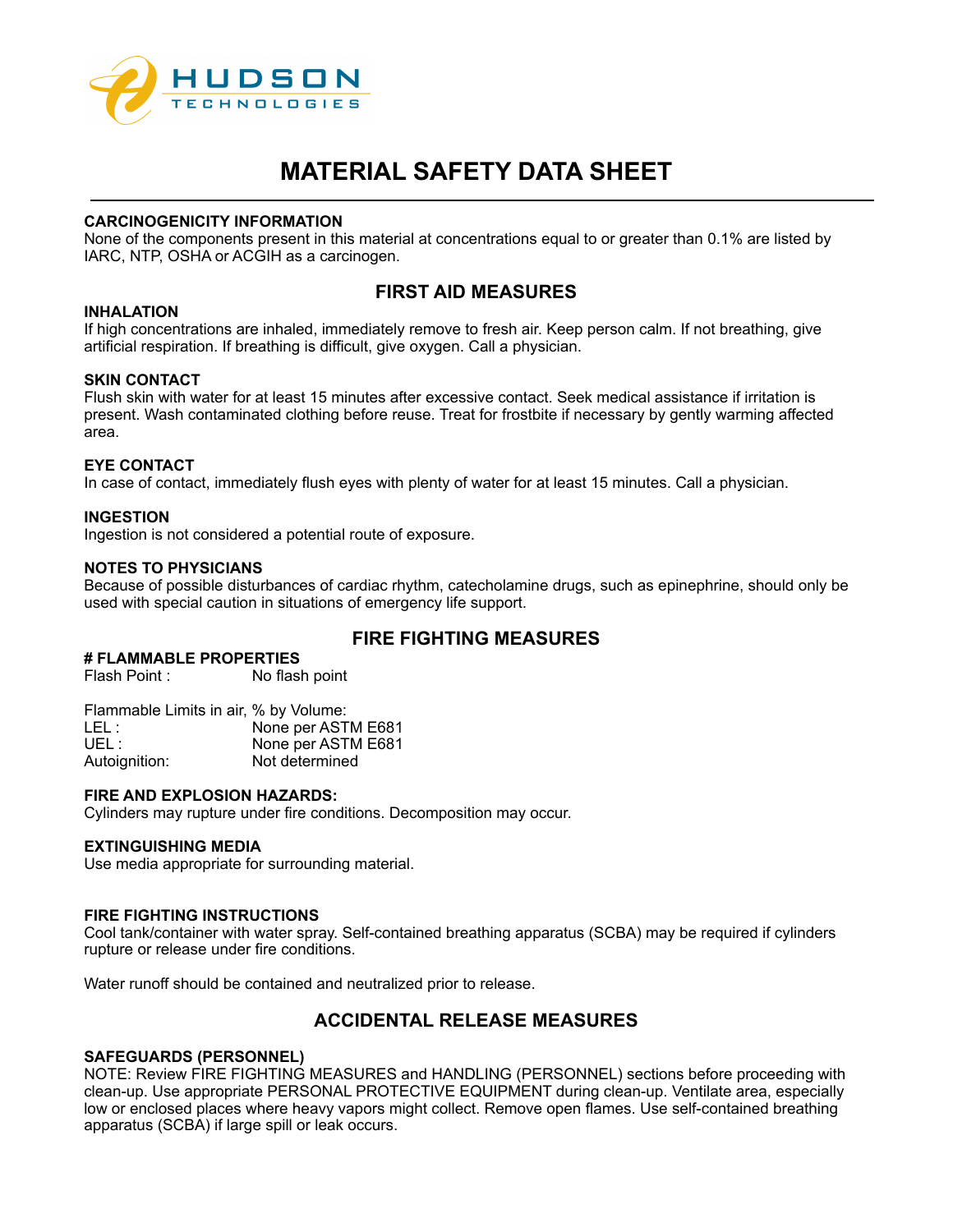

## **CARCINOGENICITY INFORMATION**

None of the components present in this material at concentrations equal to or greater than 0.1% are listed by IARC, NTP, OSHA or ACGIH as a carcinogen.

# **FIRST AID MEASURES**

# **INHALATION**

If high concentrations are inhaled, immediately remove to fresh air. Keep person calm. If not breathing, give artificial respiration. If breathing is difficult, give oxygen. Call a physician.

## **SKIN CONTACT**

Flush skin with water for at least 15 minutes after excessive contact. Seek medical assistance if irritation is present. Wash contaminated clothing before reuse. Treat for frostbite if necessary by gently warming affected area.

## **EYE CONTACT**

In case of contact, immediately flush eyes with plenty of water for at least 15 minutes. Call a physician.

# **INGESTION**

Ingestion is not considered a potential route of exposure.

## **NOTES TO PHYSICIANS**

Because of possible disturbances of cardiac rhythm, catecholamine drugs, such as epinephrine, should only be used with special caution in situations of emergency life support.

# **FIRE FIGHTING MEASURES**

# **# FLAMMABLE PROPERTIES**

No flash point

| Flammable Limits in air, % by Volume: |                    |
|---------------------------------------|--------------------|
| LEL :                                 | None per ASTM E681 |
| UFL :                                 | None per ASTM E681 |
| Autoignition:                         | Not determined     |

## **FIRE AND EXPLOSION HAZARDS:**

Cylinders may rupture under fire conditions. Decomposition may occur.

## **EXTINGUISHING MEDIA**

Use media appropriate for surrounding material.

#### **FIRE FIGHTING INSTRUCTIONS**

Cool tank/container with water spray. Self-contained breathing apparatus (SCBA) may be required if cylinders rupture or release under fire conditions.

Water runoff should be contained and neutralized prior to release.

# **ACCIDENTAL RELEASE MEASURES**

## **SAFEGUARDS (PERSONNEL)**

NOTE: Review FIRE FIGHTING MEASURES and HANDLING (PERSONNEL) sections before proceeding with clean-up. Use appropriate PERSONAL PROTECTIVE EQUIPMENT during clean-up. Ventilate area, especially low or enclosed places where heavy vapors might collect. Remove open flames. Use self-contained breathing apparatus (SCBA) if large spill or leak occurs.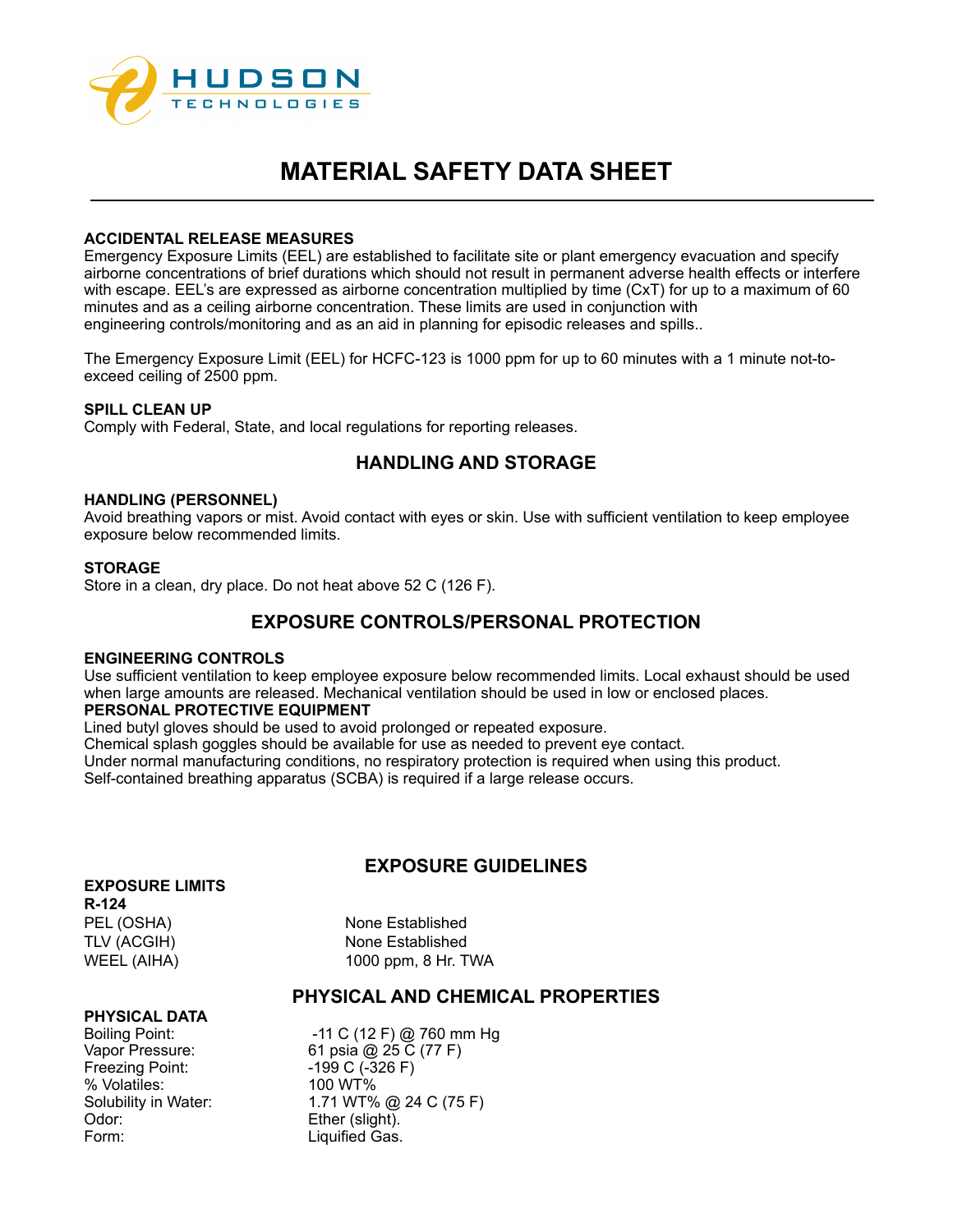

## **ACCIDENTAL RELEASE MEASURES**

Emergency Exposure Limits (EEL) are established to facilitate site or plant emergency evacuation and specify airborne concentrations of brief durations which should not result in permanent adverse health effects or interfere with escape. EEL's are expressed as airborne concentration multiplied by time (CxT) for up to a maximum of 60 minutes and as a ceiling airborne concentration. These limits are used in conjunction with engineering controls/monitoring and as an aid in planning for episodic releases and spills..

The Emergency Exposure Limit (EEL) for HCFC-123 is 1000 ppm for up to 60 minutes with a 1 minute not-toexceed ceiling of 2500 ppm.

# **SPILL CLEAN UP**

Comply with Federal, State, and local regulations for reporting releases.

# **HANDLING AND STORAGE**

#### **HANDLING (PERSONNEL)**

Avoid breathing vapors or mist. Avoid contact with eyes or skin. Use with sufficient ventilation to keep employee exposure below recommended limits.

#### **STORAGE**

Store in a clean, dry place. Do not heat above 52 C (126 F).

# **EXPOSURE CONTROLS/PERSONAL PROTECTION**

#### **ENGINEERING CONTROLS**

Use sufficient ventilation to keep employee exposure below recommended limits. Local exhaust should be used when large amounts are released. Mechanical ventilation should be used in low or enclosed places.

# **PERSONAL PROTECTIVE EQUIPMENT**

Lined butyl gloves should be used to avoid prolonged or repeated exposure.

Chemical splash goggles should be available for use as needed to prevent eye contact. Under normal manufacturing conditions, no respiratory protection is required when using this product.

Self-contained breathing apparatus (SCBA) is required if a large release occurs.

# **EXPOSURE GUIDELINES**

### **EXPOSURE LIMITS**

**R-124**

PEL (OSHA) None Established TLV (ACGIH) None Established WEEL (AIHA) 1000 ppm, 8 Hr. TWA

# **PHYSICAL AND CHEMICAL PROPERTIES**

## **PHYSICAL DATA**

Freezing Point: -199 C (-326 F) % Volatiles: 100 WT%<br>Solubility in Water: 1.71 WT% Odor: Ether (slight). Form: Liquified Gas.

Boiling Point:  $\begin{array}{ccc} 11 & C & (12 \text{ F}) & \textcircled{2} & 760 \text{ mm Hg} \\ \textcircled{1} & 61 & \textcircled{2} & 25 & C & (77 \text{ F}) \end{array}$ 61 psia @ 25 C (77 F) 1.71 WT% @ 24 C (75 F)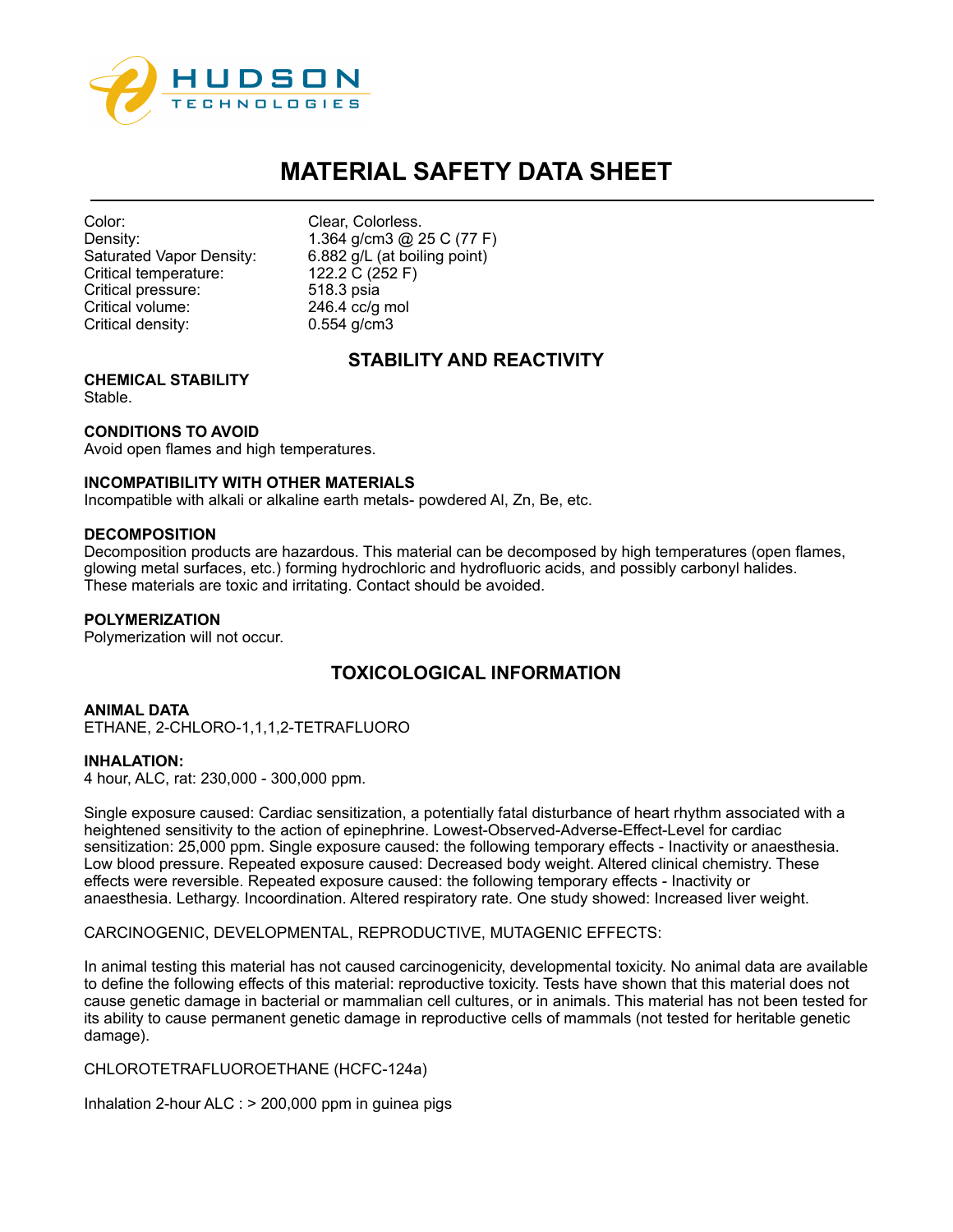

| Color:                   |
|--------------------------|
| Density:                 |
| Saturated Vapor Density: |
| Critical temperature:    |
| Critical pressure:       |
| Critical volume:         |
| Critical density:        |

Clear, Colorless. 1.364 g/cm3 @ 25 C (77 F) 6.882 g/L (at boiling point) 122.2 C (252 F) 518.3 psia  $246.4$  cc/g mol  $0.554$  g/cm3

# **STABILITY AND REACTIVITY**

**CHEMICAL STABILITY** Stable.

# **CONDITIONS TO AVOID**

Avoid open flames and high temperatures.

## **INCOMPATIBILITY WITH OTHER MATERIALS**

Incompatible with alkali or alkaline earth metals- powdered Al, Zn, Be, etc.

#### **DECOMPOSITION**

Decomposition products are hazardous. This material can be decomposed by high temperatures (open flames, glowing metal surfaces, etc.) forming hydrochloric and hydrofluoric acids, and possibly carbonyl halides. These materials are toxic and irritating. Contact should be avoided.

## **POLYMERIZATION**

Polymerization will not occur.

# **TOXICOLOGICAL INFORMATION**

**ANIMAL DATA** ETHANE, 2-CHLORO-1,1,1,2-TETRAFLUORO

## **INHALATION:**

4 hour, ALC, rat: 230,000 - 300,000 ppm.

Single exposure caused: Cardiac sensitization, a potentially fatal disturbance of heart rhythm associated with a heightened sensitivity to the action of epinephrine. Lowest-Observed-Adverse-Effect-Level for cardiac sensitization: 25,000 ppm. Single exposure caused: the following temporary effects - Inactivity or anaesthesia. Low blood pressure. Repeated exposure caused: Decreased body weight. Altered clinical chemistry. These effects were reversible. Repeated exposure caused: the following temporary effects - Inactivity or anaesthesia. Lethargy. Incoordination. Altered respiratory rate. One study showed: Increased liver weight.

CARCINOGENIC, DEVELOPMENTAL, REPRODUCTIVE, MUTAGENIC EFFECTS:

In animal testing this material has not caused carcinogenicity, developmental toxicity. No animal data are available to define the following effects of this material: reproductive toxicity. Tests have shown that this material does not cause genetic damage in bacterial or mammalian cell cultures, or in animals. This material has not been tested for its ability to cause permanent genetic damage in reproductive cells of mammals (not tested for heritable genetic damage).

CHLOROTETRAFLUOROETHANE (HCFC-124a)

Inhalation 2-hour ALC : > 200,000 ppm in guinea pigs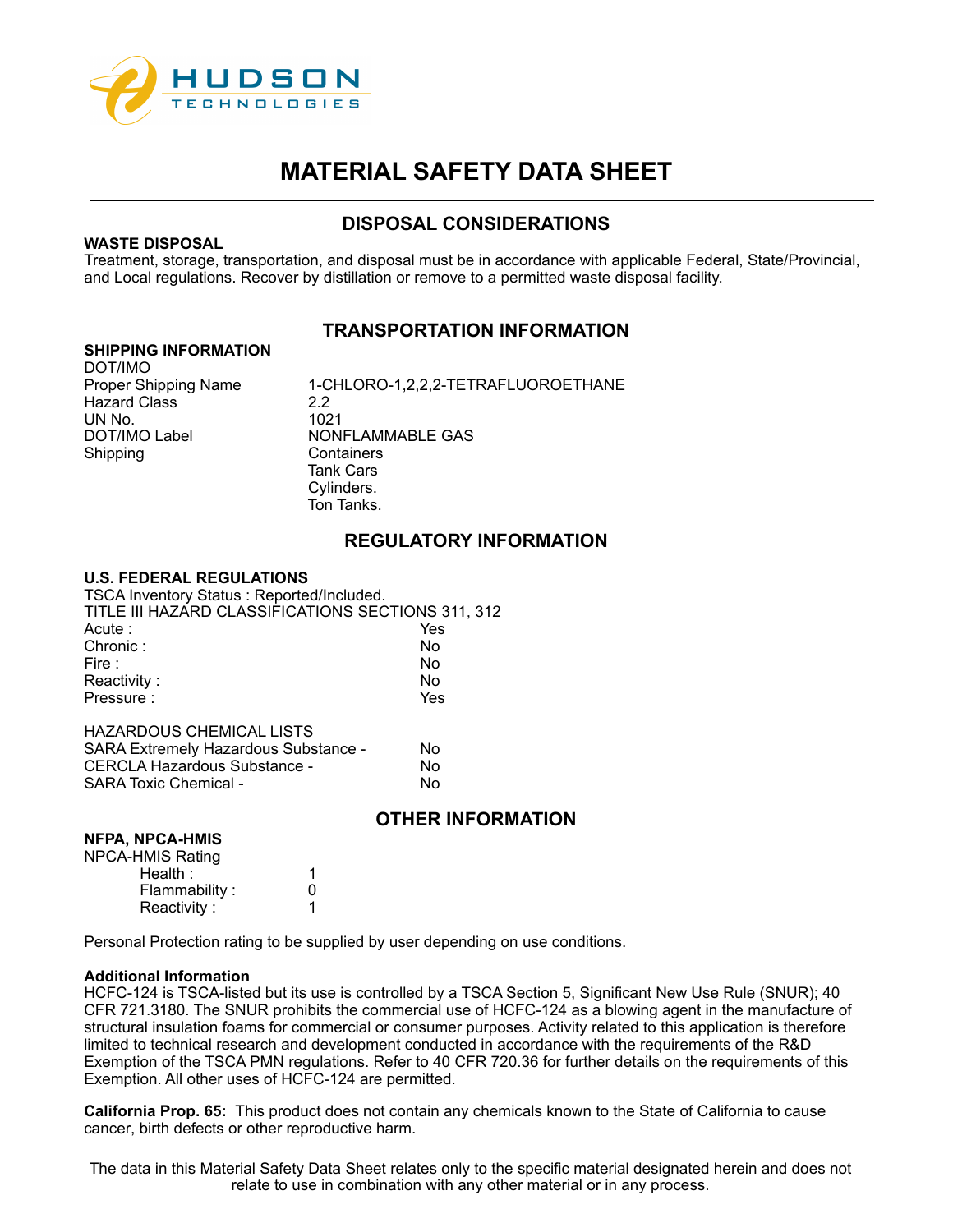

# **DISPOSAL CONSIDERATIONS**

## **WASTE DISPOSAL**

Treatment, storage, transportation, and disposal must be in accordance with applicable Federal, State/Provincial, and Local regulations. Recover by distillation or remove to a permitted waste disposal facility.

# **TRANSPORTATION INFORMATION**

#### **SHIPPING INFORMATION**

DOT/IMO Hazard Class 2.2 UN No. 1021

Proper Shipping Name  $1$ -CHLORO-1,2,2,2-TETRAFLUOROETHANE<br>Hazard Class 2.2 DOT/IMO Label NONFLAMMABLE GAS<br>Shipping Containers Containers Tank Cars Cylinders. Ton Tanks.

# **REGULATORY INFORMATION**

## **U.S. FEDERAL REGULATIONS**

TSCA Inventory Status : Reported/Included. TITLE III HAZARD CLASSIFICATIONS SECTIONS 311, 312 Acute : The Yes Chronic : No. No. 2012. No. 2014. No. 2012. No. 2014. No. 2014. No. 2014. No. 2014. No. 2014. No. 20 Fire : No. 2012 **No. 2013 12:20 No. 2013** Reactivity : No. 2008. No. 2009. No. 2009. No. 2009. No. 2009. No. 2009. No. 2009. No. 2009. No. 2009. No. 201 Pressure :  $Y$ es HAZARDOUS CHEMICAL LISTS

| <b>SARA Extremely Hazardous Substance -</b> | N٥ |
|---------------------------------------------|----|
| CERCLA Hazardous Substance -                | N٥ |
| <b>SARA Toxic Chemical -</b>                | N٥ |

# **OTHER INFORMATION**

## **NFPA, NPCA-HMIS**

| <b>NPCA-HMIS Rating</b> |              |
|-------------------------|--------------|
| Health:                 |              |
| Flammability:           | $\mathbf{0}$ |
| Reactivity:             |              |

Personal Protection rating to be supplied by user depending on use conditions.

## **Additional Information**

HCFC-124 is TSCA-listed but its use is controlled by a TSCA Section 5, Significant New Use Rule (SNUR); 40 CFR 721.3180. The SNUR prohibits the commercial use of HCFC-124 as a blowing agent in the manufacture of structural insulation foams for commercial or consumer purposes. Activity related to this application is therefore limited to technical research and development conducted in accordance with the requirements of the R&D Exemption of the TSCA PMN regulations. Refer to 40 CFR 720.36 for further details on the requirements of this Exemption. All other uses of HCFC-124 are permitted.

**California Prop. 65:** This product does not contain any chemicals known to the State of California to cause cancer, birth defects or other reproductive harm.

The data in this Material Safety Data Sheet relates only to the specific material designated herein and does not relate to use in combination with any other material or in any process.